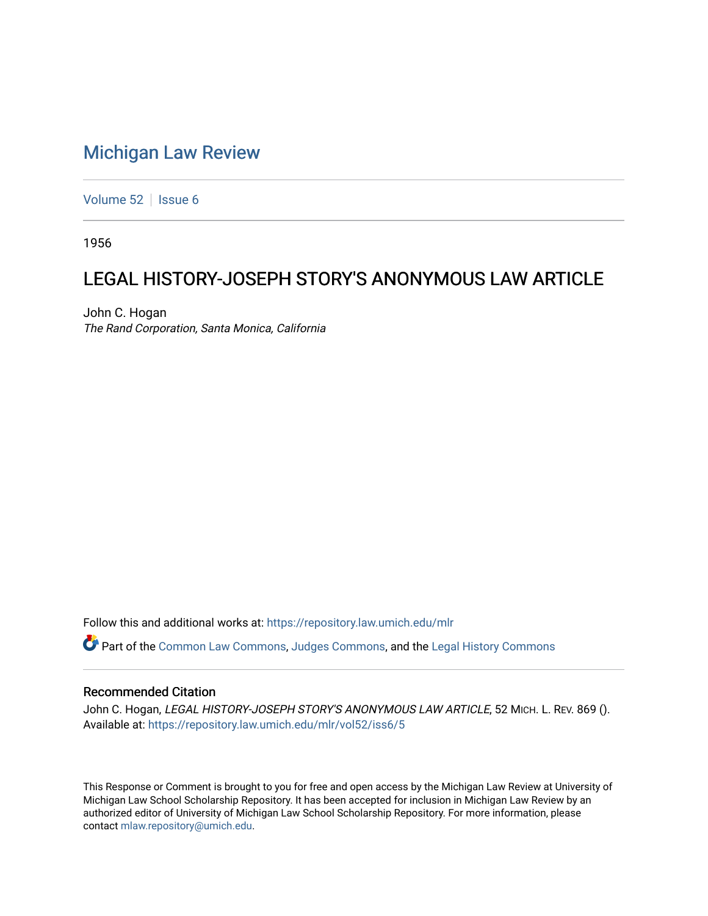## [Michigan Law Review](https://repository.law.umich.edu/mlr)

[Volume 52](https://repository.law.umich.edu/mlr/vol52) | [Issue 6](https://repository.law.umich.edu/mlr/vol52/iss6)

1956

# LEGAL HISTORY-JOSEPH STORY'S ANONYMOUS LAW ARTICLE

John C. Hogan The Rand Corporation, Santa Monica, California

Follow this and additional works at: [https://repository.law.umich.edu/mlr](https://repository.law.umich.edu/mlr?utm_source=repository.law.umich.edu%2Fmlr%2Fvol52%2Fiss6%2F5&utm_medium=PDF&utm_campaign=PDFCoverPages) 

Part of the [Common Law Commons,](http://network.bepress.com/hgg/discipline/1120?utm_source=repository.law.umich.edu%2Fmlr%2Fvol52%2Fiss6%2F5&utm_medium=PDF&utm_campaign=PDFCoverPages) [Judges Commons](http://network.bepress.com/hgg/discipline/849?utm_source=repository.law.umich.edu%2Fmlr%2Fvol52%2Fiss6%2F5&utm_medium=PDF&utm_campaign=PDFCoverPages), and the [Legal History Commons](http://network.bepress.com/hgg/discipline/904?utm_source=repository.law.umich.edu%2Fmlr%2Fvol52%2Fiss6%2F5&utm_medium=PDF&utm_campaign=PDFCoverPages)

## Recommended Citation

John C. Hogan, LEGAL HISTORY-JOSEPH STORY'S ANONYMOUS LAW ARTICLE, 52 MICH. L. REV. 869 (). Available at: [https://repository.law.umich.edu/mlr/vol52/iss6/5](https://repository.law.umich.edu/mlr/vol52/iss6/5?utm_source=repository.law.umich.edu%2Fmlr%2Fvol52%2Fiss6%2F5&utm_medium=PDF&utm_campaign=PDFCoverPages)

This Response or Comment is brought to you for free and open access by the Michigan Law Review at University of Michigan Law School Scholarship Repository. It has been accepted for inclusion in Michigan Law Review by an authorized editor of University of Michigan Law School Scholarship Repository. For more information, please contact [mlaw.repository@umich.edu](mailto:mlaw.repository@umich.edu).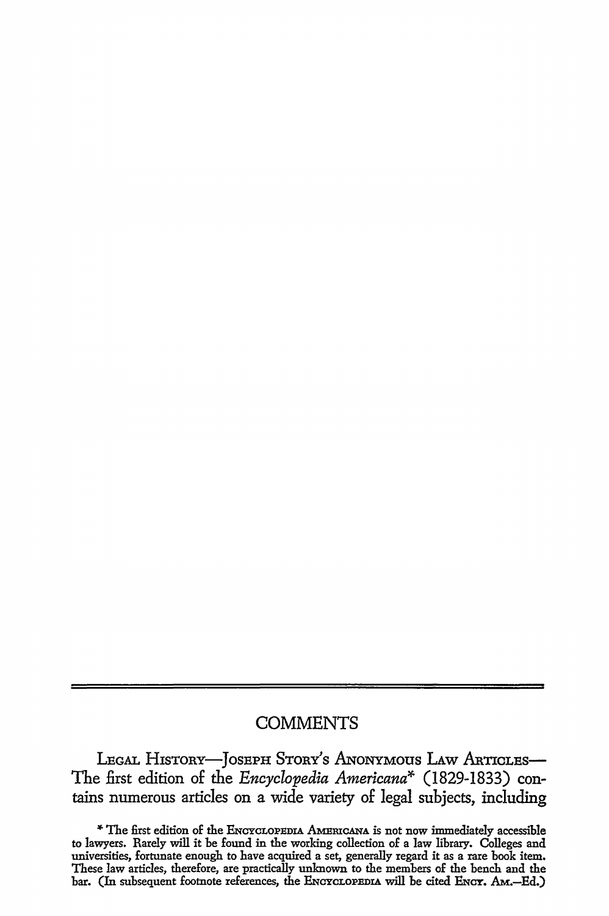## **COMMENTS**

LEGAL HISTORY-JOSEPH STORY'S ANONYMOUS LAW ARTICLES-The £rst edition of the *Encyclopedia Americana\** (1829-1833) contains numerous articles on a wide variety of legal subjects, including

<sup>\*</sup> The first edition of the ENCYCLOPEDIA AMERICANA is not now immediately accessible to lawyers. Rarely will it be found in the working collection of a law library. Colleges and universities, fortunate enough to have acquired a set, generally regard it as a rare book item. These law articles, therefore, are practically unknown to the members of the bench and the bar. (In subsequent footnote references, the ENCYCLOPEDIA will be cited ENCY. AM.-Ed.)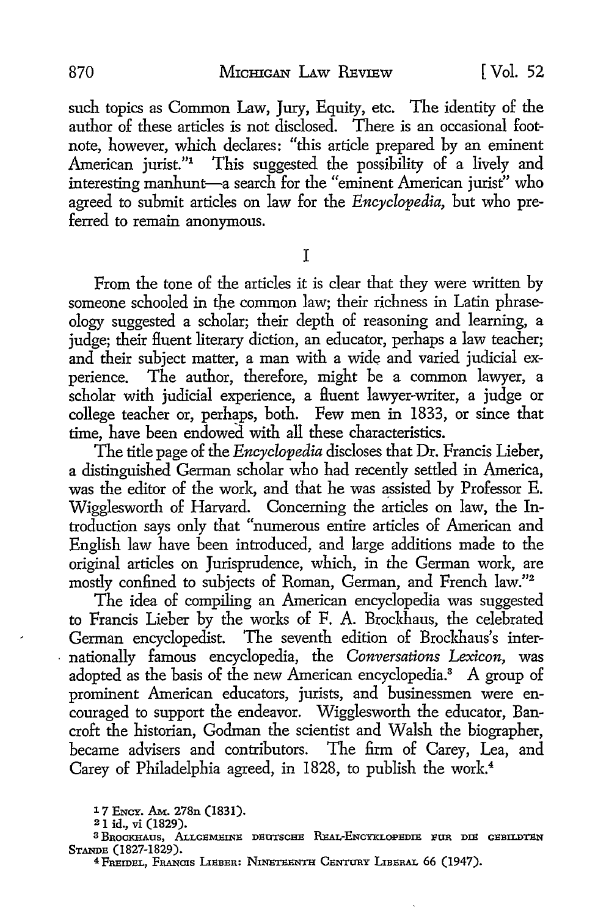such topics as Common Law, Jury, Equity, etc. The identity of the author of these articles is not disclosed. There is an occasional footnote, however, which declares: "this article prepared by an eminent American jurist."<sup>1</sup> This suggested the possibility of a lively and interesting manhunt-a search for the "eminent American jurist" who agreed to submit articles on law for the *Encyclopedia,* but who preferred to remain anonymous.

I

From the tone of the articles it is clear that they were written by someone schooled in the common law; their richness in Latin phraseology suggested a scholar; their depth of reasoning and learning, a judge; their fluent literary diction, an educator, perhaps a law teacher; and their subject matter, a man with a wide and varied judicial experience. The author, therefore, might be a common lawyer, a scholar with judicial experience, a fluent lawyer-writer, a judge or college teacher or, perhaps, both. Few men in 1833, or since that time, have been endowed with all these characteristics.

The title page of the *Encyclopedia* discloses that Dr. Francis Lieber, a distinguished German scholar who had recently settled in America, was the editor of the work, and that he was assisted by Professor E. Wigglesworth of Harvard. Concerning the articles on law, the Introduction says only that "numerous entire articles of American and English law have been introduced, and large additions made to the original articles on Jurisprudence, which, in the German work, are mostly confined to subjects of Roman, German, and French law."<sup>2</sup>

The idea of compiling an American encyclopedia was suggested to Francis Lieber by the works of F. A. Brockhaus, the celebrated German encyclopedist. The seventh edition of Brockhaus's internationally famous encyclopedia, the *Conversations Lexicon,* was adopted as the basis of the new American encyclopedia.3 A group of prominent American educators, jurists, and businessmen were encouraged to support the endeavor. Wigglesworth the educator, Bancroft the historian, Godman the scientist and Walsh the biographer, became advisers and contributors. The firm of Carey, Lea, and Carey of Philadelphia agreed, in 1828, to publish the work.<sup>4</sup>

<sup>1 7</sup> ENCY. AM.. 278n (1831).

<sup>21</sup> id., vi (1829).

<sup>&</sup>lt;sup>3</sup> Brockhaus, Allgemeine deutsche Real-Encyklopedie fur die gebildten

Stande (1827-1829).<br><sup>4</sup> Freidel, Francis Lieber: Nineteenth Century Liberal 66 (1947).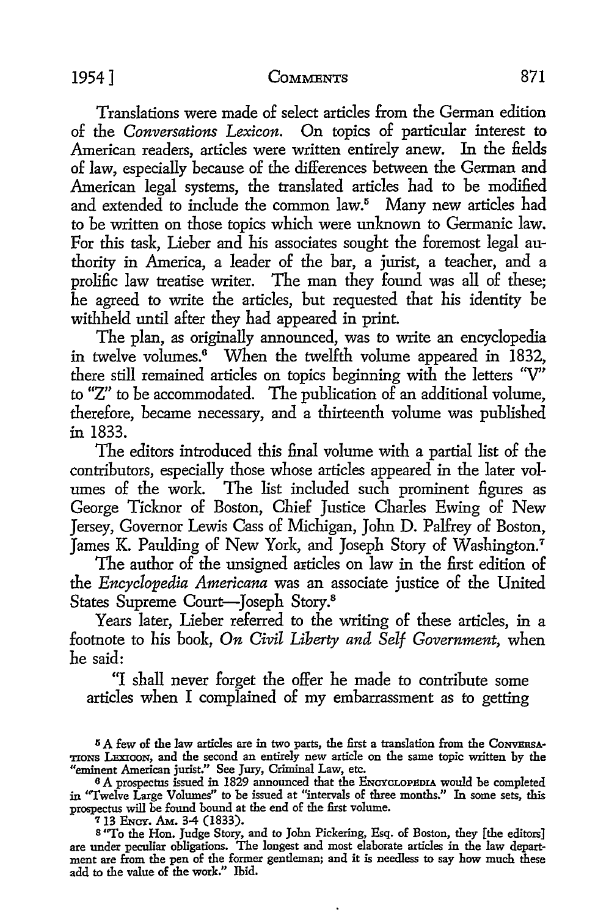Translations were made of select articles from the German edition of the *Conversations Lexicon.* On topics of particular interest to American readers, articles were written entirely anew. In the fields of law, especially because of the differences between the German and American legal systems, the translated articles had to be modified and extended to include the common law.<sup>5</sup> Many new articles had to be written on those topics which were unknown to Germanic law. For this task, Lieber and his associates sought the foremost legal authority in America, a leader of the bar, a jurist, a teacher, and a prolific law treatise writer. The man they found was all of these; he agreed to write the articles, but requested that his identity be withheld until after they had appeared in print.

The plan, as originally announced, was to write an encyclopedia in twelve volumes.<sup>6</sup> When the twelfth volume appeared in 1832, there still remained articles on topics beginning with the letters ''V" to "Z" to be accommodated. The publication of an additional volume, therefore, became necessary, and a thirteenth volume was published in 1833.

The editors introduced this final volume with a partial list of the contributors, especially those whose articles appeared in the later volumes of the work. The list included such prominent figures as George Ticknor of Boston, Chief Justice Charles Ewing of New Jersey, Governor Lewis Cass of Michigan, John D. Palfrey of Boston, James K. Paulding of New York, and Joseph Story of Washington.<sup>7</sup>

The author of the unsigned articles on law in the first edition of the *Encyclopedia Americana* was an associate justice of the United States Supreme Court-Joseph Story.<sup>8</sup>

Years later, Lieber referred to the writing of these articles, in a footnote to his book, *On Civil Liberty and Self Government,* when he said:

"I shall never forget the offer he made to contribute some articles when I complained of my embarrassment as to getting

713 Ency. Am. 3-4 (1833).<br>8 "To the Hon. Judge Story, and to John Pickering, Esq. of Boston, they [the editors] are under peculiar obligations. The longest and most elaborate articles in the law department are from the pen of the former gentleman; and it is needless to say how much these add to the value of the work." Ibid.

<sup>&</sup>lt;sup>5</sup> A few of the law articles are in two parts, the first a translation from the ConvERSA-TIONS LEXIcoN, and the second an entirely new article on the same topic written by the "eminent American jurist." See Jury, Criminal Law, etc.

<sup>&</sup>lt;sup>6</sup> A prospectus issued in 1829 announced that the ENCYCLOPEDIA would be completed in "Twelve Large Volumes" *to* be issued at "intervals of three months." In some sets, this prospectus will be found bound at the end of the first volume.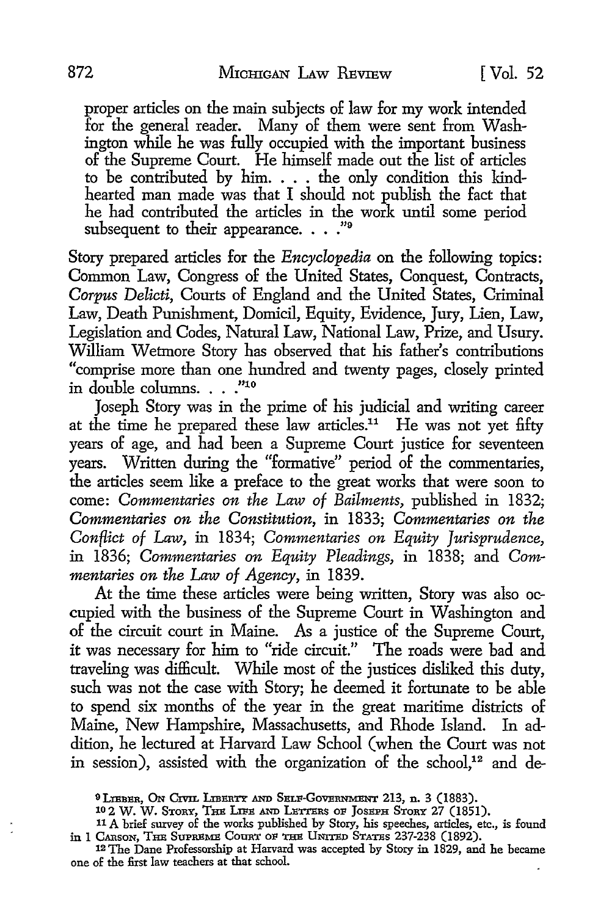proper articles on the main subjects of law for my work intended for the general reader. Many of them were sent from Washington while he was fully occupied with the important business of the Supreme Court. He himself made out the list of articles to be contributed by him. . . . the only condition this kindhearted man made was that I should not publish the fact that he had contributed the articles in the work until some period subsequent to their appearance. . . . "9

Story prepared articles for the *Encyclopedia* on the following topics: Common Law, Congress of the United States, Conquest, Contracts, *Corpus Delicti,* Courts of England and the United States, Criminal Law, Death Punishment, Domicil, Equity, Evidence, Jury, Lien, Law, Legislation and Codes, Natural Law, National Law, Prize, and Usury. William Wetmore Story has observed that his father's contributions "comprise more than one hundred and twenty pages, closely printed in double columns. . . . "10

Joseph Story was in the prime of his judicial and writing career at the time he prepared these law articles.<sup>11</sup> He was not yet fifty years of age, and had been a Supreme Court justice for seventeen years. Written during the "formative" period of the commentaries, the articles seem like a preface to the great works that were soon to come: *Commentaries on the Law of Bailments,* published in 1832; *Commentaries on the Constitution,* in 1833; *Commentaries on the Conflict of Law,* in 1834; *Commentaries on Equity Jurisprudence,*  in 1836; *Commentaries on Equity Pleadings,* in 1838; and *Commentaries on the Law of Agency,* in 1839.

At the time these articles were being written, Story was also occupied with the business of the Supreme Court in Washington and of the circuit court in Maine. As a justice of the Supreme Court, it was necessary for him to "ride circuit." The roads were bad and traveling was difficult. While most of the justices disliked this duty, such was not the case with Story; he deemed it fortunate to be able to spend six months of the year in the great maritime districts of Maine, New Hampshire, Massachusetts, and Rhode Island. In addition, he lectured at Harvard Law School ( when the Court was not in session), assisted with the organization of the school, $12$  and de-

<sup>&</sup>lt;sup>9</sup> LIEBER, ON CIVIL LIBERTY AND SELF-GOVERNMENT 213, n. 3 (1883).

<sup>10 2</sup> W. W. STORY, THE LIFE AND LETTERS OF JOSEPH STORY 27 (1851).

<sup>11</sup> A brief survey of the works published by Story, his speeches, articles, etc., is found in I CARSON, THE SUPREME COURT OF THE UNITED STATES 237-238 (1892). 12 The Dane Professorship at Harvard was accepted by Story in 1829, and he became

one of the first law teachers at that school.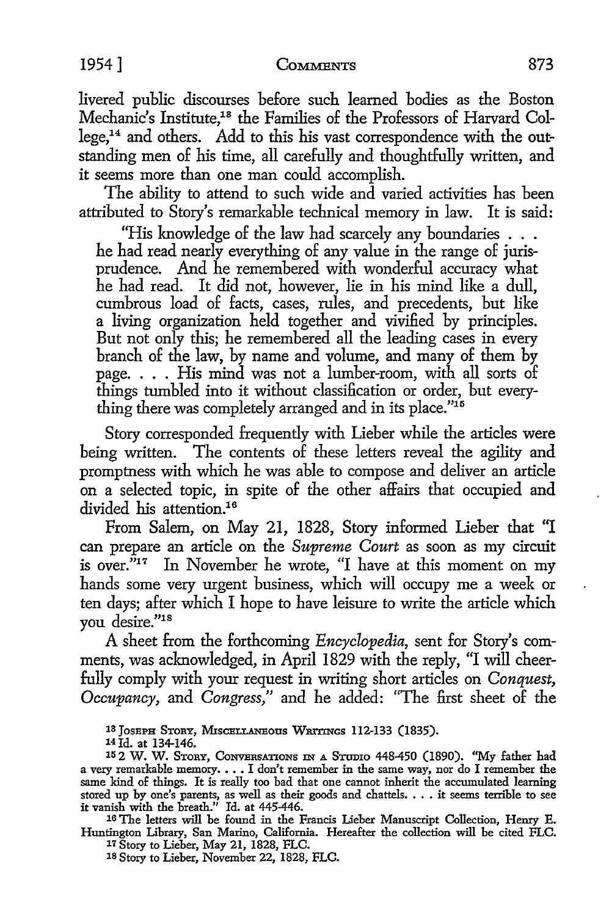livered public discourses before such learned bodies as the Boston Mechanic's Institute,18 the Families of the Professors of Harvard College,14 and others. Add to this his vast correspondence with the outstanding men of his time, all carefully and thoughtfully written, and it seems more than one man could accomplish.

The ability to attend to such wide and varied activities has been attributed to Story's remarkable technical memory in law. It is said:

"His knowledge of the law had scarcely any boundaries ... he had read nearly everything of any value in the range of jurisprudence. And he remembered with wonderful accuracy what he had read. It did not, however, lie in his mind like a dull, cumbrous load of facts, cases, rules, and precedents, but like a living organization held together and vivified by principles. But not only this; he remembered all the leading cases in every branch of the law, by name and volume, and many of them by page. . . . His mind was not a lumber-room, with all sorts of things tumbled into it without classification or order, but everything there was completely arranged and in its place."<sup>15</sup>

Story corresponded frequently with Lieber while the articles were being written. The contents of these letters reveal the agility and promptness with which he was able to compose and deliver an article on a selected topic, in spite of the other affairs that occupied and divided his attention.<sup>16</sup>

From Salem, on May 21, 1828, Story informed Lieber that "I can prepare an article on the *Supreme Court* as soon as my circuit is over."<sup>17</sup> In November he wrote, "I have at this moment on my hands some very urgent business, which will occupy me a week or ten days; after which I hope *to* have leisure to write the article which you desire."18

A sheet from the forthcoming *Encyclopedia,* sent for Story's comments, was acknowledged, in April 1829 with the reply, "I will cheerfully comply with your request in writing short articles on *Conquest, Occupancy,* and *Congress,"* and he added: "The first sheet of the

13 JOSEPH STORY, MISCELLANEOUS WRITINGS 112-133 (1835).

14 Id. at 134-146.

16 The letters will be found in the Francis Lieber Manuscript Collection, Henry E. Huntington Library, San Marino, California. Hereafter the collection will be cited PLC.

17 Story to Lieber, May 21, 1828, FLC. 18 Story to Lieber, November 22, 1828, PLC.

<sup>15 2</sup> W. W. STORY, CONVERSATIONS IN A STUDIO 448-450 (1890). "My father had a very remarkable memory. . . . I don't remember in the same way, nor do I remember the same kind of things. It is really too bad that one cannot inherit the accumulated learning stored up by one's parents, as well as their goods and chattels. . . . it seems terrible to see it vanish with the breath." Id. at 445-446.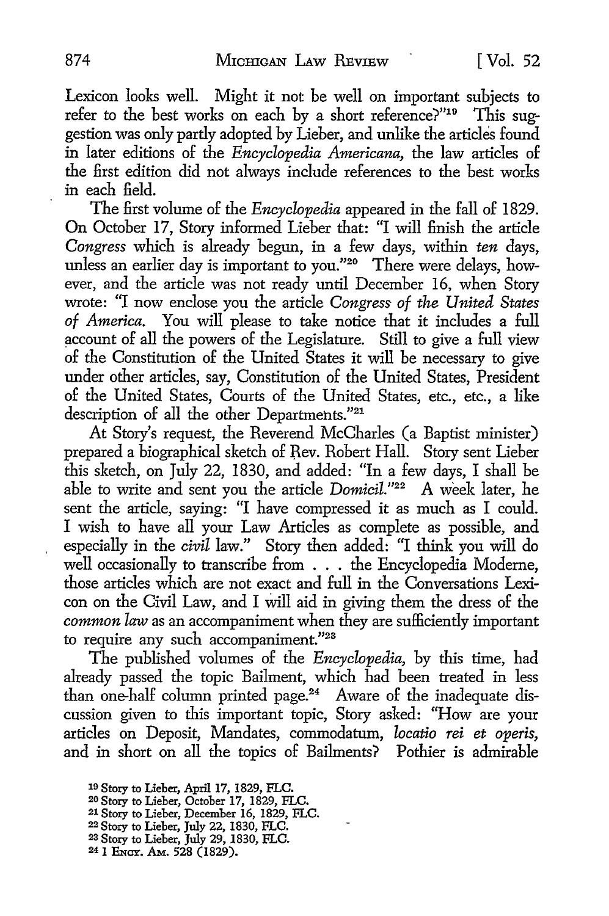Lexicon looks well. Might it not be well on important subjects *to*  refer to the best works on each by a short reference?"<sup>19</sup> This suggestion was only partly adopted by Lieber, and unlike the articles found in later editions of the *Encyclopedia Americana,* the law articles of the first edition did not always include references to the best works in each field.

The first volume of the *Encyclopedia* appeared in the fall of 1829. On October 17, Story informed Lieber that: "I will finish the article *Congress* which is already begun, in a few days, within *ten* days, unless an earlier day is important to you."<sup>20</sup> There were delays, however, and the article was not ready until December 16, when Story wrote: "I now enclose you the article *Congress of the United States of America.* You will please to take notice that it includes a full account of all the powers of the Legislature. Still to give a full view of the Constitution of the United States it will be necessary to give under other articles, say, Constitution of the United States, President of the United States, Courts of the United States, etc., etc., a like description of all the other Departmehts."21

*At* Story's request, the Reverend McCharles (a Baptist minister) prepared a biographical sketch of Rev. Robert Hall. Story sent Lieber this sketch, on July 22, 1830, and added: "In a few days, I shall be able *to* write and sent you the article *Domicil."22* A week later, he sent the article, saying: "I have compressed it as much as I could. I wish to have all your Law Articles as complete as possible, and especially in the *civil* law." Story then added: "I think you will do well occasionally to transcribe from . . . the Encyclopedia Moderne, those articles which are not exact and full in the Conversations Lexicon on the Civil Law, and I will aid in giving them the dress of the *common law* as an accompaniment when they are sufficiently important to require any such accompaniment."<sup>23</sup>

The published volumes of the *Encyclopedia,* by this time, had already passed the topic Bailment, which had been treated in less than one-half column printed page.<sup>24</sup> Aware of the inadequate discussion given to this important topic, Story asked: "How are your articles on Deposit, Mandates, commodatum, *locatio rei et operis,*  and in short on all the topics of Bailments? Pothier is admirable

- 21 Story to Lieber, December 16, 1829, FLC.
- 22 Story to Lieber, July 22, 1830, FLC.
- 2s Story to Lieber, July 29, 1830, FLC.
- 24 1 ENCY. AM. 528 (1829).

<sup>19</sup> Story to Lieber, April 17, 1829, FLC.

<sup>20</sup> Story to Lieber, October 17, 1829, FLC.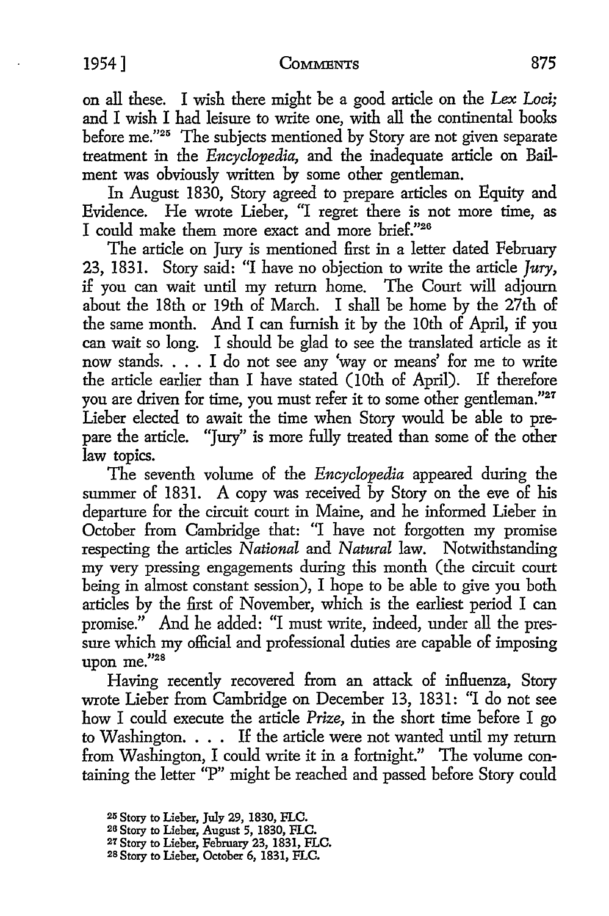on all these. I wish there might be a good article on the *Lex Loci;*  and I wish I had leisure to write one, with all the continental books before me."<sup>25</sup> The subjects mentioned by Story are not given separate treatment in the *Encyclopedia,* and the inadequate article on Bailment was obviously written by some other gentleman.

In August 1830, Story agreed to prepare articles on Equity and Evidence. He wrote Lieber, "I regret there is not more time, as I could make them more exact and more brief."26

The article on Jury is mentioned first in a letter dated February 23, 1831. Story said: "I have no objection to write the article  $\hat{I}$ ury, if you can wait until my return home. The Court will adjourn about the 18th or 19th of March. I shall be home by the 27th of the same month. And I can furnish it by the 10th of April, if you can wait so long. I should be glad to see the translated article as it now stands. . . . I do not see any 'way or means' for me to write the article earlier than I have stated (10th of April). If therefore you are driven for time, you must refer it to some other gentleman."<sup>27</sup> Lieber elected to await the time when Story would be able to prepare the article. "Jury" is more fully treated than some of the other law topics.

The seventh volume of the *Encyclopedia* appeared during the summer of 1831. A copy was received by Story on the eve of his departure for the circuit court in Maine, and he informed Lieber in October from Cambridge that: "I have not forgotten my promise respecting the articles *National* and *Natural* law. Notwithstanding my very pressing engagements during this month (the circuit court being in almost constant session), I hope to be able to give you both articles by the first of November, which is the earliest period I can promise." And he added: "I must write, indeed, under all the pressure which my official and professional duties are capable of imposing upon me."28

Having recently recovered from an attack of influenza, Story wrote Lieber from Cambridge on December 13, 1831: "I do not see how I could execute the article *Prize,* in the short time before I go to Washington. . . . If the article were not wanted until my return from Washington, I could write it in a fortnight." The volume containing the letter "P" might be reached and passed before Story could

<sup>2</sup>r. Story to Lieber, July 29, 1830, FLC.

<sup>2</sup>a Story to Lieber, August 5, 1830, FLC.

*<sup>21</sup>* Story to Lieber, February 23, 1831, FLC.

<sup>28</sup> Story to Lieber, October 6, 1831, FLC.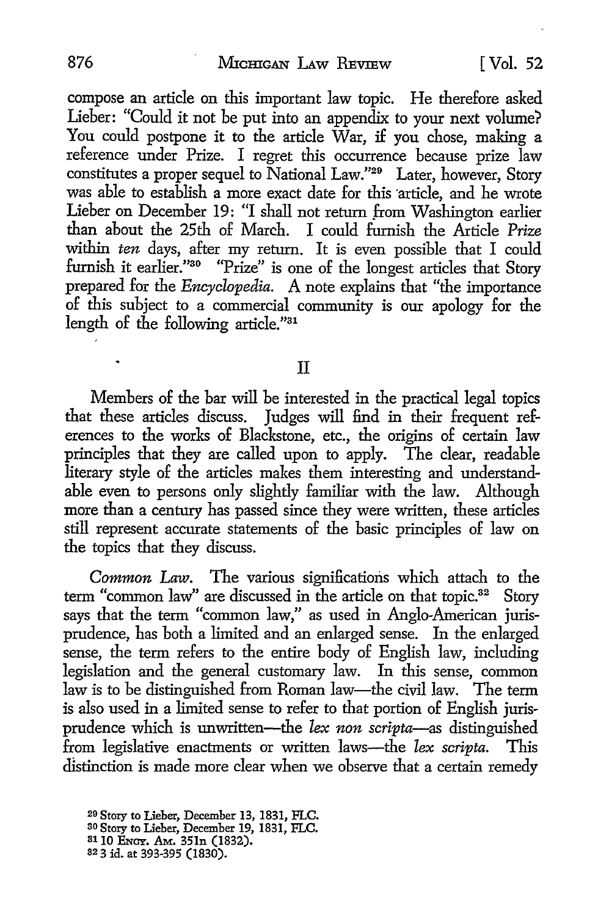compose an article on this important law topic. He therefore asked Lieber: "Could it not be put into an appendix to your next volume? You could postpone it to the article War, if you chose, making a reference under Prize. I regret this occurrence because prize law constitutes a proper sequel to National Law."29 Later, however, Story was able to establish a more exact date for this article, and he wrote Lieber on December 19: "I shall not return \_from Washington earlier than about the 25th of March. I could furnish the Article *Prize*  within *ten* days, after my return. It is even possible that I could furnish it earlier."<sup>30</sup> "Prize" is one of the longest articles that Story prepared for the *Encyclopedia.* A note explains that "the importance of this subject to a commercial community is our apology for the length of the following article."31

## II

Members of the bar will be interested in the practical legal topics that these articles discuss. Judges will find in their frequent references to the works of Blackstone, etc., the origins of certain law principles that they are called upon to apply. The clear, readable literary style of the articles makes them interesting and understandable even to persons only slightly familiar with the law. Although more than a century has passed since they were written, these articles still represent accurate statements of the basic principles of law on the topics that they discuss.

*Common* Law. The various significations which attach to the term "common law" are discussed in the article on that topic.<sup>32</sup> Story says that the term "common law," as used in Anglo-American jurisprudence, has both a limited and an enlarged sense. In the enlarged sense, the term refers to the entire body of English law, including legislation and the general customary law. In this sense, common law is to be distinguished from Roman law-the civil law. The term is also used in a limited sense to refer to that portion of English jurisprudence which is unwritten-the *lex non scripta-as* distinguished from legislative enactments or written laws-the *lex scripta.* This distinction is made more clear when we observe that a certain remedy

30 Story to Lieber, December 19, 1831, FLC.

<sup>29</sup> Story to Lieber, December 13, 1831, FLC.

<sup>3110</sup> ENCY. AM. 351n (1832).

<sup>32 3</sup> id. at 393-395 (1830).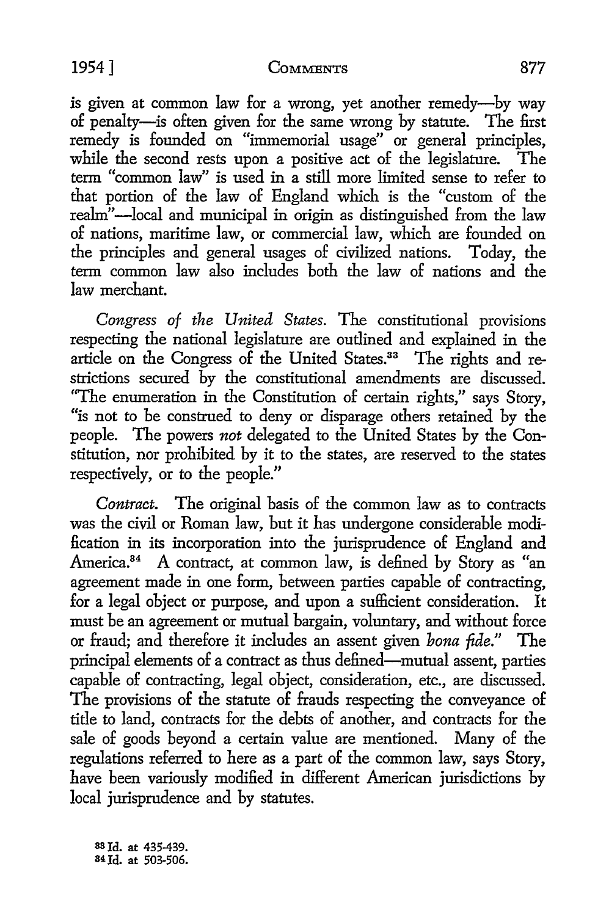is given at common law for a wrong, yet another remedy-by way of penalty-is often given for the same wrong by statute. The first remedy is founded on "immemorial usage" or general principles, while the second rests upon a positive act of the legislature. The term "common law" is used in a still more limited sense to refer to that portion of the law of England which is the "custom of the realm"-local and municipal in origin as distinguished from the law of nations, maritime law, or commercial law, which are founded on the principles and general usages of civilized nations. Today, the term common law also includes both the law of nations and the law merchant.

*Congress of the United States.* The constitutional provisions respecting the national legislature are outlined and explained in the article on the Congress of the United States.<sup>33</sup> The rights and restrictions secured by the constitutional amendments are discussed. "The enumeration in the Constitution of certain rights," says Story, "is not *to* be construed to deny or disparage others retained by the people. The powers *not* delegated to the United States by the Constitution, nor prohibited by it to the states, are reserved to the states respectively, or *to* the people."

*Contract.* The original basis of the common law as to contracts was the civil or Roman law, but it has undergone considerable modi fication in its incorporation into the jurisprudence of England and America.<sup>34</sup> A contract, at common law, is defined by Story as "an agreement made in one form, between parties capable of contracting, for a legal object or purpose, and upon a sufficient consideration. must be an agreement or mutual bargain, voluntary, and without force or fraud; and therefore it includes an assent given *bona fide."* The principal elements of a contract as thus defined-mutual assent, parties capable of contracting, legal object, consideration, etc., are discussed. The provisions of the statute of frauds respecting the conveyance of title to land, contracts for the debts of another, and contracts for the sale of goods beyond a certain value are mentioned. Many of the regulations referred to here as a part of the common law, says Story, have been variously modified in different American jurisdictions by local jurisprudence and by statutes.

83 Id. at 435-439. 84 Id. at 503-506.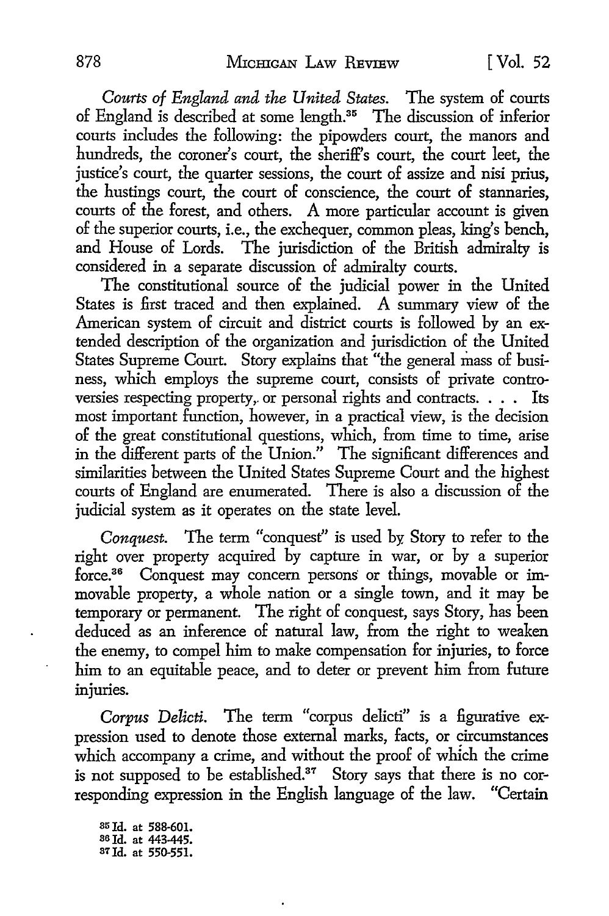*Courts of England and the United States.* The system of courts of England is described at some length. 35 The discussion of inferior courts includes the following: the pipowders court, the manors and hundreds, the coroner's court, the sheriff's court, the court leet, the justice's court, the quarter sessions, the court of assize and nisi prius, the hustings court, the court of conscience, the court of stannaries, courts of the forest, and others. A more particular account is given of the superior courts, i.e., the exchequer, common pleas, king's bench, and House of Lords. The jurisdiction of the British admiralty is considered in a separate discussion of admiralty courts.

The constitutional source of the judicial power in the United States is first traced and then explained. A summary view of the American system of circuit and district courts is followed by an extended description of the organization and jurisdiction of the United States Supreme Court. Story explains that "the general mass of business, which employs the supreme court, consists of private controversies respecting property, or personal rights and contracts. . . . Its most important function, however, in a practical view, is the decision of the great constitutional questions, which, from time to time, arise in the different parts of the Union." The significant differences and similarities between the United States Supreme Court and the highest courts of England are enumerated. There is also a discussion of the judicial system as it operates on the state level.

*Conquest.* The term "conquest" is used by, Story to refer to the right over property acquired by capture in war, or by a superior force.<sup>36</sup> Conquest may concern persons or things, movable or immovable property, a whole nation or a single town, and it may be temporary or permanent. The right of conquest, says Story, has been deduced as an inference of natural law, from the right to weaken the enemy, to compel him to make compensation for injuries, to force him to an equitable peace, and to deter or prevent him from future injuries.

*Corpus Delicti.* The term "corpus delicti" is a figurative expression used to denote those external marks, facts, or circumstances which accompany a crime, and without the proof of which the crime is not supposed to be established.<sup>37</sup> Story says that there is no corresponding expression in the English language of the law. "Certain

35 Id. at 588-601. 36 Id. at 443-445. 37 Id. at 550-551.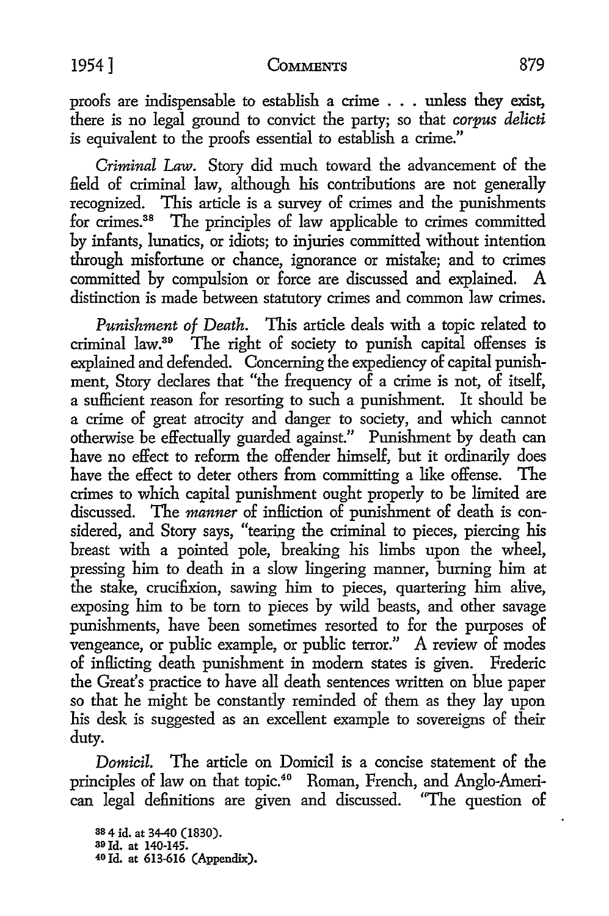proofs are indispensable to establish a crime  $\ldots$  unless they exist, there is no legal ground to convict the party; so that *corpus delicti*  is equivalent to the proofs essential to establish a crime."

*Criminal Law.* Story did much toward the advancement of the field of criminal law, although his contributions are not generally recognized. This article is a survey of crimes and the punishments for crimes.<sup>38</sup> The principles of law applicable to crimes committed by infants, lunatics, or idiots; to injuries committed without intention through misfortune or chance, ignorance or mistake; and to crimes committed by compulsion or force are discussed and explained. A distinction is made between statutory crimes and common law crimes.

*Punishment of Death.* This article deals with a topic related to criminal law.39 The right of society to punish capital offenses is explained and defended. Concerning the expediency of capital punishment, Story declares that "the frequency of a crime is not, of itself, a sufficient reason for resorting to such a punishment. It should be a crime of great atrocity and danger to society, and which cannot otherwise be effectually guarded against." Punishment by death can have no effect to reform the offender himself, but it ordinarily does have the effect to deter others from committing a like offense. The crimes to which capital punishment ought properly to be limited are discussed. The *manner* of infliction of punishment of death is considered, and Story says, "tearipg the criminal to pieces, piercing his breast with a pointed pole, breaking his limbs upon the wheel, pressing him to death in a slow lingering manner, burning him at the stake, crucifixion, sawing him to pieces, quartering him alive, exposing him to be tom to pieces by wild beasts, and other savage punishments, have been sometimes resorted to for the purposes of vengeance, or public example, or public terror." A review of modes of inflicting death punishment in modern states is given. Frederic the Great's practice to have all death sentences written on blue paper so that he might be constantly reminded of them as they lay upon his desk is suggested as an excellent example to sovereigns of their duty.

*Domicil.* The article on Domicil is a concise statement of the principles of law on that topic.40 Roman, French, and Anglo-American legal definitions are given and discussed. "The question of

ss 4 id. at 34-40 (1830). 39Jd. at 140-145. 40 Id. at 613-616 (Appendix).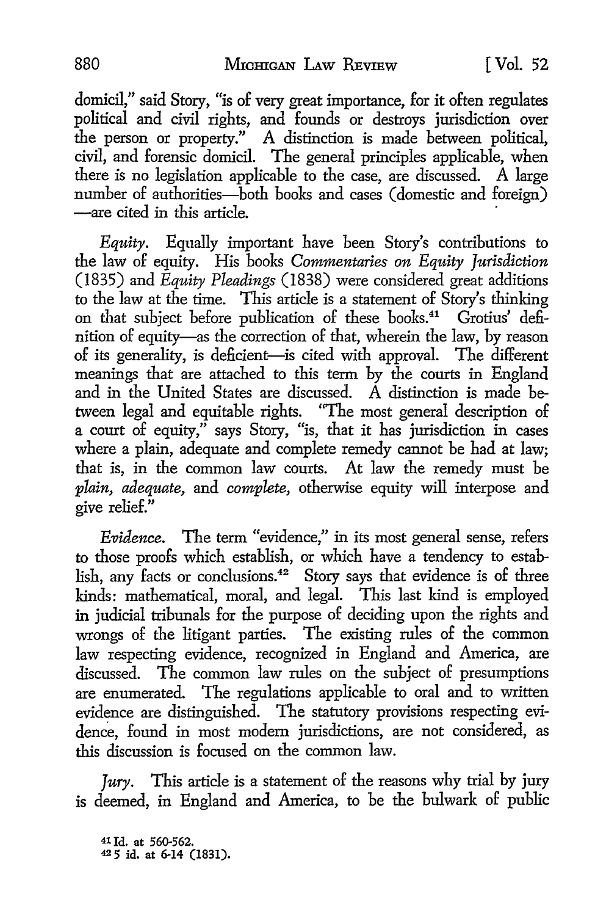domicil," said Story, "is of very great importance, for it often regulates political and civil rights, and founds or destroys jurisdiction over the person or property." A distinction is made between political, civil, and forensic domicil. The general principles applicable, when there is no legislation applicable to the case, are discussed. A large number of authorities-both books and cases (domestic and foreign) -are cited in this article.

*Equity.* Equally important have been Story's contributions to the law of equity. His books *Commentaries on Equity Jurisdiction*  (1835) and *Equity Pleadings* (1838) were considered great additions to the law at the time. This article is a statement of Story's thinking on that subject before publication of these books.41 Grotius' definition of equity-as the correction of that, wherein the law, by reason of its generality, is deficient-is cited with approval. The different meanings that are attached to this term by the courts in England and in the United States are discussed. A distinction is made between legal and equitable rights. "The most general description of a court of equity," says Story, "is, that it has jurisdiction in cases where a plain, adequate and complete remedy cannot be had at law; that is, in the common law courts. At law the remedy must be *plain, adequate,* and *complete,* otherwise equity will interpose and give relief."

*Evidence.* The term "evidence," in its most general sense, refers to those proofs which establish, or which have a tendency to establish, any facts or conclusions.<sup>42</sup> Story says that evidence is of three kinds: mathematical, moral, and legal. This last kind is employed in judicial tribunals for the purpose of deciding upon the rights and wrongs of the litigant parties. The existing rules of the common law respecting evidence, recognized in England and America, are discussed. The common law rules on the subject of presumptions are enumerated. The regulations applicable to oral and to written evidence are distinguished. The statutory provisions respecting evidence, found in most modem jurisdictions, are not considered, as this discussion is focused on the common law.

*Jury.* This article is a statement of the reasons why trial by jury is deemed, in England and America, to be the bulwark of public

41 Id. at 560-562. 42 5 id. at 6-14 (1831).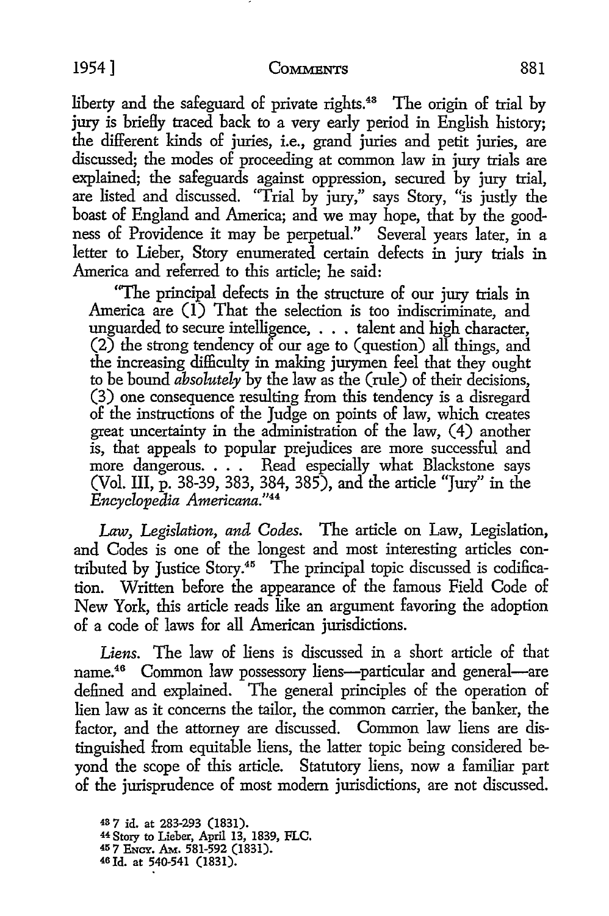liberty and the safeguard of private rights.<sup>48</sup> The origin of trial by jury is briefly traced back to a very early period in English history; the different kinds of juries, i.e., grand juries and petit juries, are discussed; the modes of proceeding at common law in jury trials are explained; the safeguards against oppression, secured by jury trial, are listed and discussed. "Trial by jury," says Story, "is justly the boast of England and America; and we may hope, that by the goodness of Providence it may be perpetual." Several years later, in a letter to Lieber, Story enumerated certain defects in jury trials in America and referred to this article; he said:

"The principal defects in the structure of our jury trials in America are (1) That the selection is too indiscriminate, and unguarded to secure intelligence, ... talent and high character,  $(2)$  the strong tendency of our age to (question) all things, and the increasing difficulty in making jurymen feel that they ought to be bound *absolutely* by the law as the (rule) of their decisions, (3) one consequence resulting from this tendency is a disregard of the instructions of the Judge on points of law, which creates great uncertainty in the administration of the law, (4) another is, that appeals to popular prejudices are more successful and more dangerous. . . . Read especially what Blackstone says (Vol. III, p. 38-39, 383, 384, 385), and the article "Jury" in the *Encyclopedia Americana."*<sup>44</sup>

*Law, Legislation, and Codes.* The article on Law, Legislation, and Codes is one of the longest and most interesting articles contributed by Justice Story.<sup>45</sup> The principal topic discussed is codification. Written before the appearance of the famous Field Code of New York, this article reads like an argument favoring the adoption of a code of laws for all American jurisdictions.

*Liens.* The law of liens is discussed in a short article of that name.<sup>46</sup> Common law possessory liens---particular and general---are defined and explained. The general principles of the operation of lien law as it concerns the tailor, the common carrier, the banker, the factor, and the attorney are discussed. Common law liens are distinguished from equitable liens, the latter topic being considered beyond the scope of this article. Statutory liens, now a familiar part of the jurisprudence of most modem jurisdictions, are not discussed.

<sup>48</sup>7 id. at 283-293 (1831). 44 Story to Lieber, April 13, 1839, FLC. 45 7 ENCY. AM.. 581-592 (1831). 46 Id. at 540-541 (1831).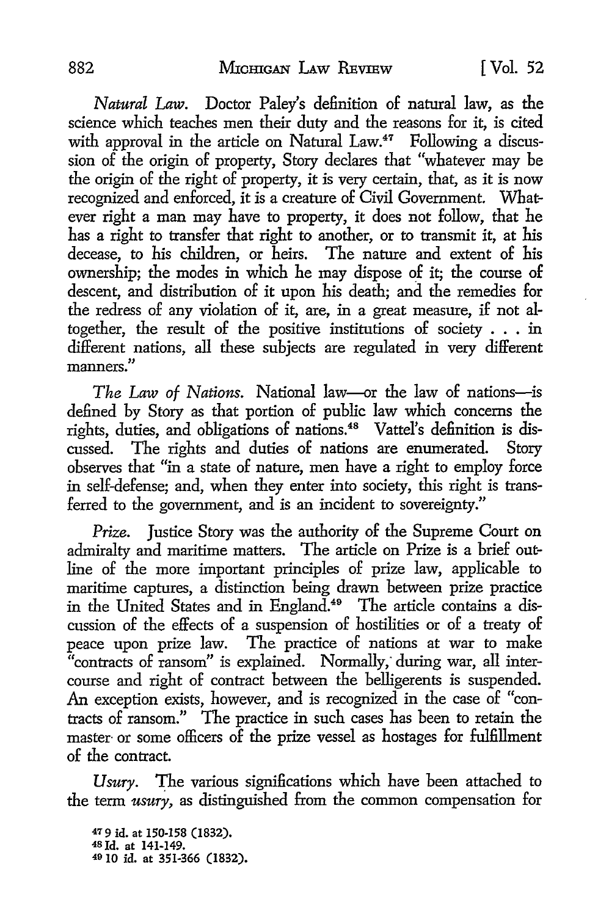*Natural* Law. Doctor Paley's definition of natural law, as the science which teaches men their duty and the reasons for it, is cited with approval in the article on Natural Law.<sup>47</sup> Following a discussion of the origin of property, Story declares that "whatever may be the origin of the right of property, it is very certain, that, as it is now recognized and enforced, it is a creature of Civil Government. Whatever right a man may have to property, it does not follow, that he has a right to transfer that right to another, or to transmit it, at his decease, to his children, or heirs. The nature and extent of his ownership; the modes in which he may dispose of it; the course of descent, and distribution of it upon his death; and the remedies for the redress of any violation of it, are, in a great measure, if not altogether, the result of the positive institutions of society . . . in different nations, all these subjects are regulated in very different manners. "

*The Law of Nations.* National law--or the law of nations--is defined by Story as that portion of public law which concerns the rights, duties, and obligations of nations.48 Vattel's definition is discussed. The rights and duties of nations are enumerated. Story observes that "in a state of nature, men have a right to employ force in self-defense; and, when they enter into society, this right is transferred to the government, and is an incident to sovereignty."

*Prize.* Justice Story was the authority of the Supreme Court on admiralty and maritime matters. The article on Prize is a brief outline of the more important principles of prize law, applicable to maritime captures, a distinction being drawn between prize practice in the United States and in England.<sup>49</sup> The article contains a discussion of the effects of a suspension of hostilities or of a treaty of peace upon prize law. The practice of nations at war to make "contracts of ransom" is explained. Normally, during war, all intercourse and right of contract between the belligerents is suspended. An exception exists, however, and is recognized in the case of "contracts of ransom." The practice in such cases has been to retain the master or some officers of the prize vessel as hostages for fulfillment of the contract.

Usury. The various significations which have been attached to the term *usury,* as distinguished from the common compensation for

47 9 id. at 150-158 (1832). <sup>48</sup>Id. at 141-149. 49 10 id. at 351-366 (1832).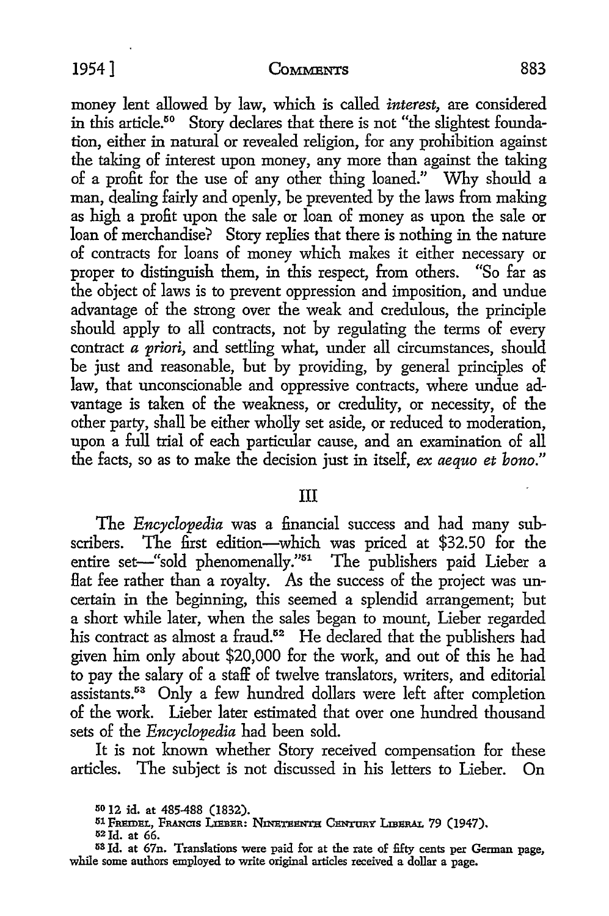money lent allowed by law, which is called *interest,* are considered in this article.<sup>50</sup> Story declares that there is not "the slightest foundation, either in natural or revealed religion, for any prohibition against the taking of interest upon money, any more than against the taking of a profit for the use of any other thing loaned." Why should a man, dealing fairly and openly, be prevented by the laws from making as high a profit upon the sale or loan of money as upon the sale or loan of merchandise? Story replies that there is nothing in the nature of contracts for loans of money which makes it either necessary or proper to distinguish them, in this respect, from others. "So far as the object of laws is to prevent oppression and imposition, and undue advantage of the strong over the weak and credulous, the principle should apply to all contracts, not by regulating the terms of every contract *a priori*, and settling what, under all circumstances, should be just and reasonable, but by providing, by general principles of law, that unconscionable and oppressive contracts, where undue advantage is taken of the weakness, or credulity, or necessity, of the other party, shall be either wholly set aside, or reduced to moderation, upon a full trial of each particular cause, and an examination of all the facts, so as to make the decision just in itself, *ex aequo et bono."* 

## III

The *Encyclopedia* was a financial success and had many subscribers. The first edition-which was priced at \$32.50 for the entire set-"sold phenomenally."<sup>51</sup> The publishers paid Lieber a Hat fee rather than a royalty. As the success of the project was uncertain in the beginning, this seemed a splendid arrangement; but a short while later, when the sales began to mount, Lieber regarded his contract as almost a fraud.<sup>52</sup> He declared that the publishers had given him only about \$20,000 for the work, and out of this he had to pay the salary of a staff of twelve translators, writers, and editorial assistants.<sup>53</sup> Only a few hundred dollars were left after completion of the work. Lieber later estimated that over one hundred thousand sets of the *Encyclopedia* had been sold.

It is not known whether Story received compensation for these articles. The subject is not discussed in his letters to Lieber. On

<sup>50</sup>12 id. at 485-488 (1832).

<sup>51</sup> FREIDEL, FRANCIS LIEBER: NINETEENTH CENTURY LIBERAL 79 (1947).

 $52$  Id. at 66.

<sup>53</sup> Id. at 67n. Translations were paid for at the rate of fifty cents per German page, while some authors employed to write original articles received a dollar a page.